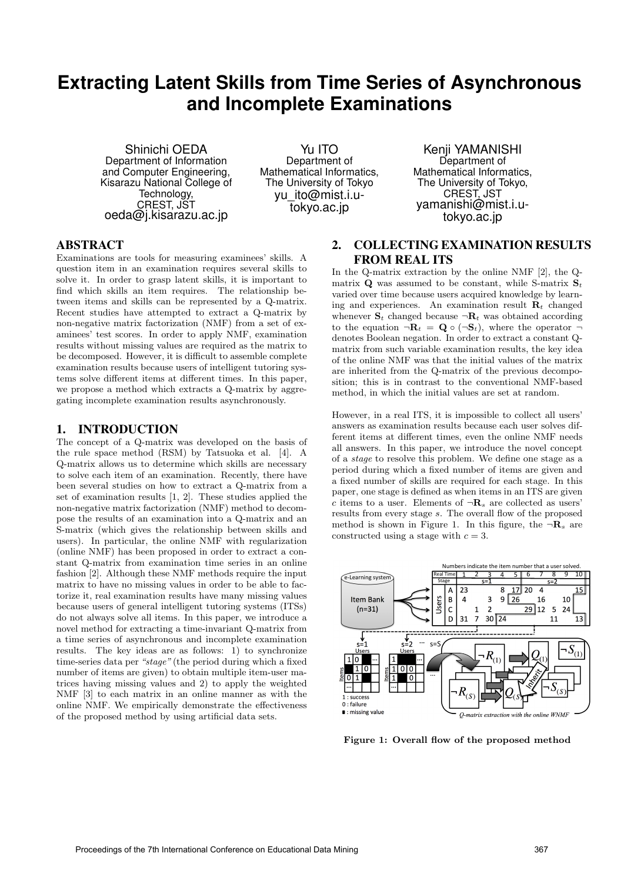# **Extracting Latent Skills from Time Series of Asynchronous and Incomplete Examinations**

Shinichi OEDA Department of Information and Computer Engineering, Kisarazu National College of Technology, CREST, JST oeda@j.kisarazu.ac.jp

Yu ITO Department of Mathematical Informatics, The University of Tokyo yu\_ito@mist.i.utokyo.ac.jp

Kenji YAMANISHI Department of Mathematical Informatics, The University of Tokyo, CREST, JST yamanishi@mist.i.utokyo.ac.jp

# ABSTRACT

Examinations are tools for measuring examinees' skills. A question item in an examination requires several skills to solve it. In order to grasp latent skills, it is important to find which skills an item requires. The relationship between items and skills can be represented by a Q-matrix. Recent studies have attempted to extract a Q-matrix by non-negative matrix factorization (NMF) from a set of examinees' test scores. In order to apply NMF, examination results without missing values are required as the matrix to be decomposed. However, it is difficult to assemble complete examination results because users of intelligent tutoring systems solve different items at different times. In this paper, we propose a method which extracts a Q-matrix by aggregating incomplete examination results asynchronously.

## 1. INTRODUCTION

The concept of a Q-matrix was developed on the basis of the rule space method (RSM) by Tatsuoka et al. [4]. A Q-matrix allows us to determine which skills are necessary to solve each item of an examination. Recently, there have been several studies on how to extract a Q-matrix from a set of examination results [1, 2]. These studies applied the non-negative matrix factorization (NMF) method to decompose the results of an examination into a Q-matrix and an S-matrix (which gives the relationship between skills and users). In particular, the online NMF with regularization (online NMF) has been proposed in order to extract a constant Q-matrix from examination time series in an online fashion [2]. Although these NMF methods require the input matrix to have no missing values in order to be able to factorize it, real examination results have many missing values because users of general intelligent tutoring systems (ITSs) do not always solve all items. In this paper, we introduce a novel method for extracting a time-invariant Q-matrix from a time series of asynchronous and incomplete examination results. The key ideas are as follows: 1) to synchronize time-series data per *"stage"* (the period during which a fixed number of items are given) to obtain multiple item-user matrices having missing values and 2) to apply the weighted NMF [3] to each matrix in an online manner as with the online NMF. We empirically demonstrate the effectiveness of the proposed method by using artificial data sets.

# 2. COLLECTING EXAMINATION RESULTS FROM REAL ITS

In the Q-matrix extraction by the online NMF [2], the Qmatrix **Q** was assumed to be constant, while S-matrix  $S_t$ varied over time because users acquired knowledge by learning and experiences. An examination result  $\mathbf{R}_t$  changed whenever  $\mathbf{S}_t$  changed because  $\neg \mathbf{R}_t$  was obtained according to the equation  $\neg R_t = \mathbf{Q} \circ (\neg \mathbf{S}_t)$ , where the operator  $\neg$ denotes Boolean negation. In order to extract a constant Qmatrix from such variable examination results, the key idea of the online NMF was that the initial values of the matrix are inherited from the Q-matrix of the previous decomposition; this is in contrast to the conventional NMF-based method, in which the initial values are set at random.

However, in a real ITS, it is impossible to collect all users' answers as examination results because each user solves different items at different times, even the online NMF needs all answers. In this paper, we introduce the novel concept of a *stage* to resolve this problem. We define one stage as a period during which a fixed number of items are given and a fixed number of skills are required for each stage. In this paper, one stage is defined as when items in an ITS are given *c* items to a user. Elements of  $\neg R_s$  are collected as users' results from every stage *s*. The overall flow of the proposed method is shown in Figure 1. In this figure, the  $\neg \mathbf{R}_s$  are constructed using a stage with *c* = 3.



**Figure 1: Overall flow of the proposed method**